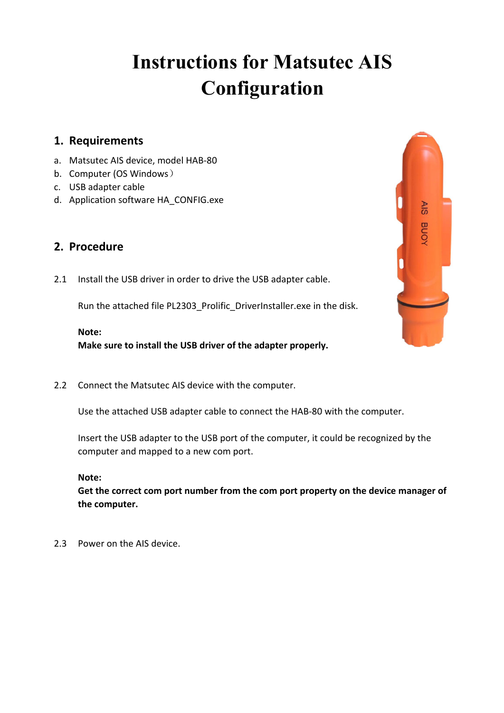# **Instructions for Matsutec AIS Configuration**

## **1. Requirements**

- a. Matsutec AIS device, model HAB-80
- b. Computer (OS Windows)
- c. USB adapter cable
- d. Application software HA\_CONFIG.exe

## **2. Procedure**

2.1 Install the USB driver in order to drive the USB adapter cable.

Run the attached file PL2303 Prolific DriverInstaller.exe in the disk.

## **Note:**

**Make sure to install the USB driver of the adapter properly.**

2.2 Connect the Matsutec AIS device with the computer.

Use the attached USB adapter cable to connect the HAB-80 with the computer.

Insert the USB adapter to the USB port of the computer, it could be recognized by the computer and mapped to a new com port.

**Note:**

**Get the correct com port number from the com port property on the device manager of the computer.**

2.3 Power on the AIS device.

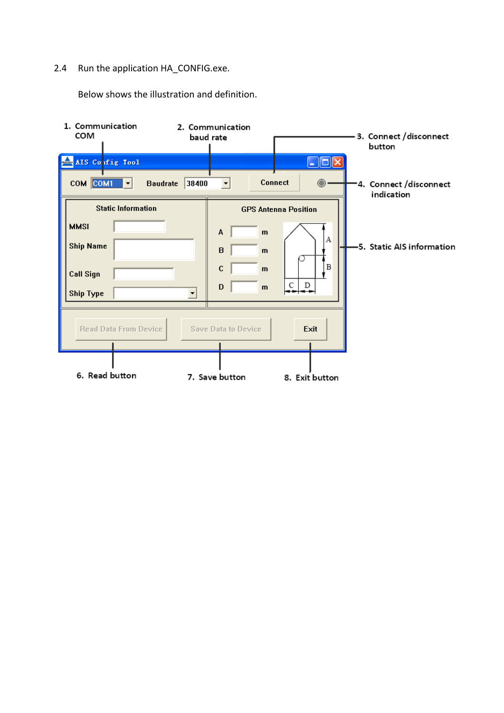## 2.4 Run the application HA\_CONFIG.exe.

Below shows the illustration and definition.

| 1. Communication                                                                              | 2. Communication           |                                                                                                       | 3. Connect / disconnect                             |
|-----------------------------------------------------------------------------------------------|----------------------------|-------------------------------------------------------------------------------------------------------|-----------------------------------------------------|
| COM                                                                                           | baud rate                  |                                                                                                       | button                                              |
| AIS Config Tool<br>$com$ $com$ $\rightarrow$                                                  | 38400<br><b>Baudrate</b>   | <b>Connect</b>                                                                                        | $\bigcirc$<br>-4. Connect /disconnect<br>indication |
| <b>Static Information</b><br><b>MMSI</b><br><b>Ship Name</b><br><b>Call Sign</b><br>Ship Type | А<br>B<br>$\mathbf C$<br>D | <b>GPS Antenna Position</b><br>$\mathbf{m}$<br>$\mathbf{m}$<br>$\mathbf{m}$<br>C<br>D<br>$\mathbf{m}$ | А<br>-5. Static AIS information<br>B                |
| <b>Read Data From Device</b>                                                                  | Save Data to Device        | Exit                                                                                                  |                                                     |
| 6. Read button                                                                                | 7. Save button             | 8. Exit button                                                                                        |                                                     |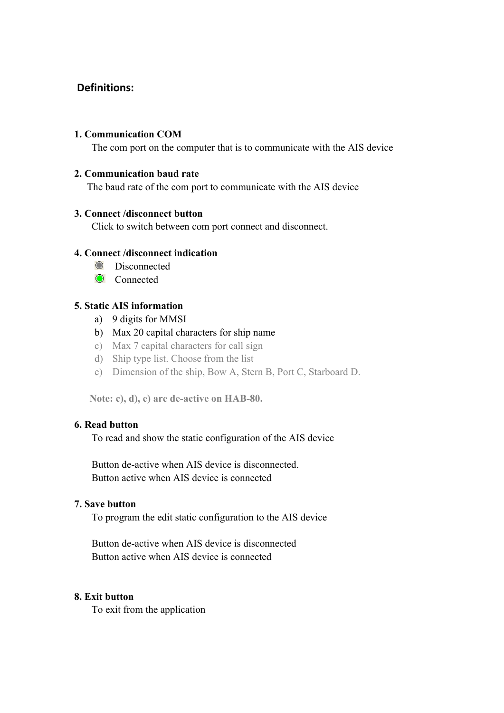## **Definitions:**

#### **1. Communication COM**

The com port on the computer that is to communicate with the AIS device

#### **2. Communication baud rate**

The baud rate of the com port to communicate with the AIS device

#### **3. Connect /disconnect button**

Click to switch between com port connect and disconnect.

#### **4. Connect /disconnect indication**

- **O** Disconnected
- **O** Connected

#### **5. Static AIS information**

- a) 9 digits for MMSI
- b) Max 20 capital characters for ship name
- c) Max 7 capital characters for call sign
- d) Ship type list. Choose from the list
- e) Dimension of the ship, Bow A, Stern B, Port C, Starboard D.

**Note: c), d), e) are de-active on HAB-80.**

#### **6. Read button**

To read and show the static configuration of the AIS device

Button de-active when AIS device is disconnected. Button active when AIS device is connected

#### **7. Save button**

To program the edit static configuration to the AIS device

Button de-active when AIS device is disconnected Button active when AIS device is connected

#### **8. Exit button**

To exit from the application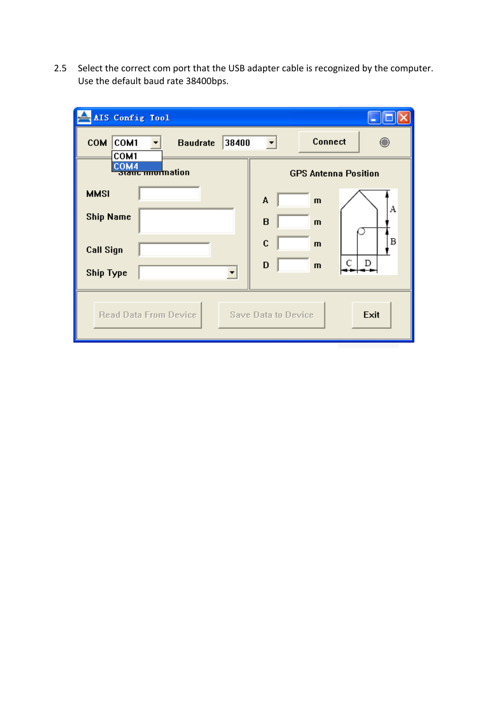2.5 Select the correct com port that the USB adapter cable is recognized by the computer. Use the default baud rate 38400bps.

| AIS Config Tool                                        |                             |
|--------------------------------------------------------|-----------------------------|
| <b>COM</b><br>COM1<br>38400<br><b>Baudrate</b><br>COM1 | <b>Connect</b>              |
| COM4<br>staut mnormation                               | <b>GPS Antenna Position</b> |
| <b>MMSI</b>                                            | А<br>$\mathbf{m}$           |
| <b>Ship Name</b>                                       | А<br>B<br>$\mathbf{m}$      |
| <b>Call Sign</b>                                       | Β<br>C<br>$\mathbf{m}$      |
| <b>Ship Type</b>                                       | C<br>D<br>D<br>$\mathbf{m}$ |
| Read Data From Device                                  | Exit<br>Save Data to Device |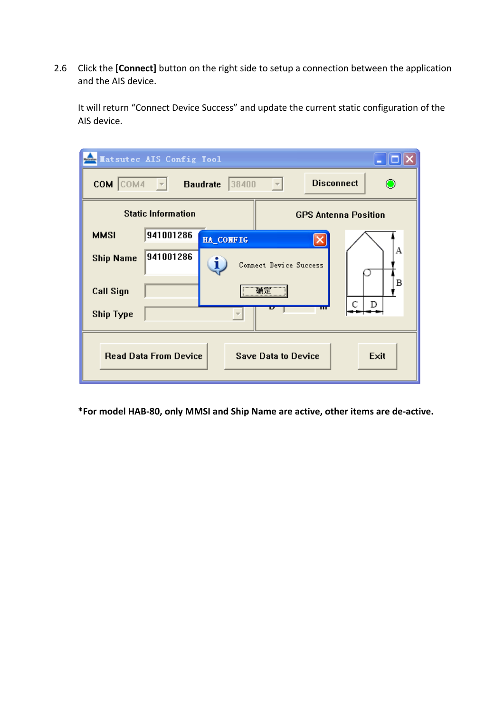2.6 Click the **[Connect]** button on the right side to setup a connection between the application and the AIS device.

It will return "Connect Device Success" and update the current static configuration of the AIS device.

|                                                                    | Latsutec AIS Config Tool                                                                            |                              | - 10                        |  |  |
|--------------------------------------------------------------------|-----------------------------------------------------------------------------------------------------|------------------------------|-----------------------------|--|--|
|                                                                    | <b>Disconnect</b><br>COM COM4<br>38400<br><b>Baudrate</b><br>$\overline{\phantom{m}}$<br>$ \nabla $ |                              |                             |  |  |
|                                                                    | <b>Static Information</b>                                                                           |                              | <b>GPS Antenna Position</b> |  |  |
| <b>MMSI</b>                                                        | 941001286                                                                                           | HA_CONFIG                    |                             |  |  |
| <b>Ship Name</b>                                                   | 941001286                                                                                           | i.<br>Connect Device Success | А                           |  |  |
| <b>Call Sign</b>                                                   |                                                                                                     | 确定                           | Β                           |  |  |
| D<br>С<br>ш<br><b>Ship Type</b>                                    |                                                                                                     |                              |                             |  |  |
| <b>Read Data From Device</b><br>Exit<br><b>Save Data to Device</b> |                                                                                                     |                              |                             |  |  |

**\*For model HAB-80, only MMSI and Ship Name are active, other items are de-active.**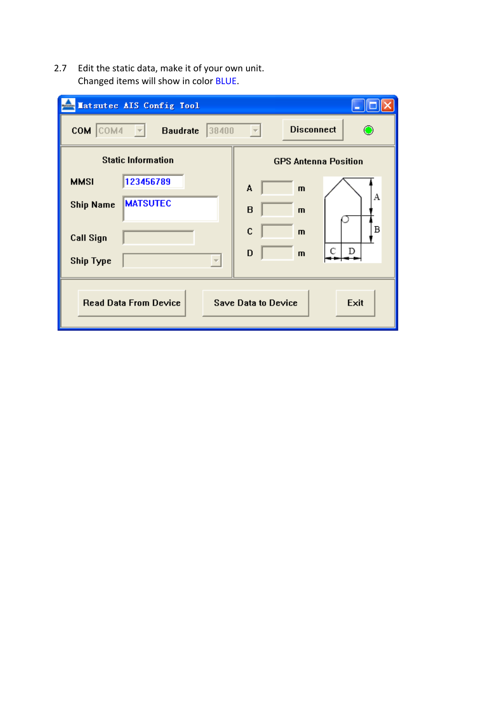2.7 Edit the static data, make it of your own unit. Changed items will show in color BLUE.

| Matsutec AIS Config Tool                                    |                                  |  |
|-------------------------------------------------------------|----------------------------------|--|
| COM COM4<br>38400<br><b>Baudrate</b><br>$\sim$ $\sim$       | <b>Disconnect</b>                |  |
| <b>Static Information</b>                                   | <b>GPS Antenna Position</b>      |  |
| 123456789<br><b>MMSI</b>                                    | A<br>$\mathbf{m}$                |  |
| <b>MATSUTEC</b><br><b>Ship Name</b>                         | Α<br>$\mathbf B$<br>$\mathbf{m}$ |  |
| <b>Call Sign</b>                                            | В<br>$\mathbf C$<br>$\mathbf{m}$ |  |
| <b>Ship Type</b>                                            | D<br>D<br>$\mathbf{m}$           |  |
| <b>Read Data From Device</b><br>Save Data to Device<br>Exit |                                  |  |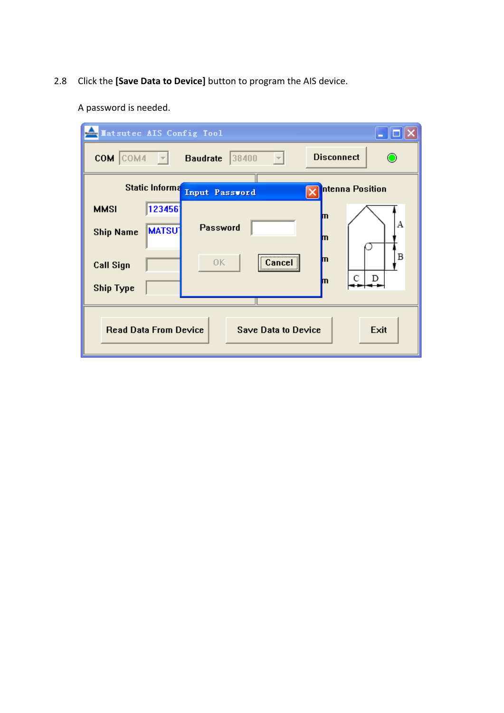2.8 Click the **[Save Data to Device]** button to program the AIS device.

A password is needed.

| <b>Explored Integrals Config Tool</b>                              |                                 |                          | $ \Box$ $\times$       |
|--------------------------------------------------------------------|---------------------------------|--------------------------|------------------------|
| COM COM4                                                           | $\vert \vert \vert \vert \vert$ | 38400<br><b>Baudrate</b> | <b>Disconnect</b><br>⊙ |
|                                                                    | <b>Static Informa</b>           | Input Password           | ntenna Position        |
| <b>MMSI</b>                                                        | 123456                          |                          | m                      |
| <b>Ship Name</b>                                                   | <b>MATSU</b>                    | Password                 | А<br>m                 |
| <b>Call Sign</b>                                                   |                                 | <br>0K<br>Cancel<br>     | В<br>m                 |
| <b>Ship Type</b>                                                   |                                 |                          | C<br>D<br>m            |
| <b>Read Data From Device</b><br>Exit<br><b>Save Data to Device</b> |                                 |                          |                        |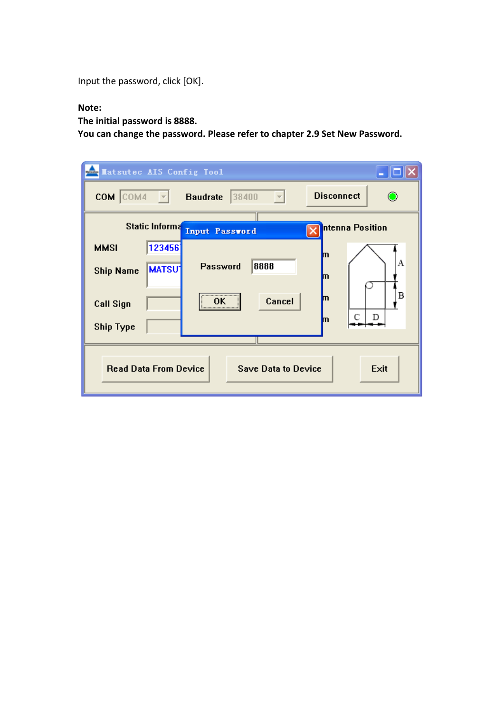Input the password, click [OK].

#### **Note:**

**The initial password is 8888.**

**You can change the password. Please refer to chapter 2.9 Set New Password.**

| <b>Matsutec AIS Config Tool</b> |                          |                            | - 101                  |
|---------------------------------|--------------------------|----------------------------|------------------------|
| COM COM4                        | $\overline{\phantom{a}}$ | 38400<br><b>Baudrate</b>   | <b>Disconnect</b><br>⊙ |
|                                 | Static Informa           | Input Password             | ntenna Position        |
| <b>MMSI</b>                     | 123456                   |                            | m                      |
| <b>Ship Name</b>                | <b>MATSU</b>             | 8888<br><b>Password</b>    | Α<br>m                 |
| <b>Call Sign</b>                |                          | <br>Cancel<br>0K<br>       | B<br>m<br>С<br>D<br>m  |
| <b>Ship Type</b>                |                          |                            |                        |
| <b>Read Data From Device</b>    |                          | <b>Save Data to Device</b> | Exit                   |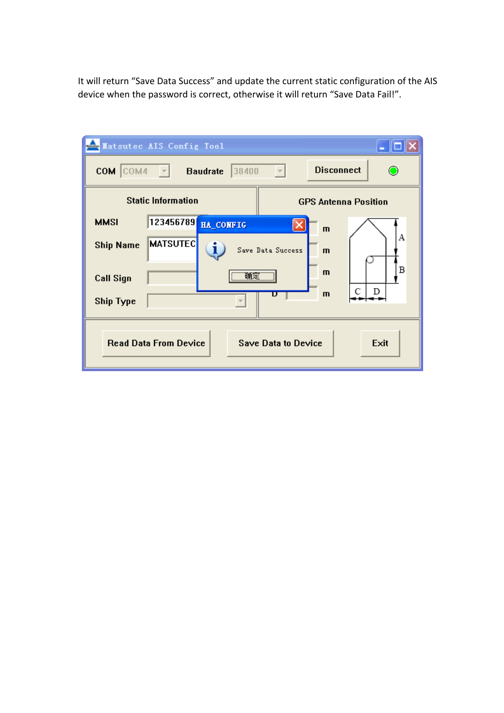It will return "Save Data Success" and update the current static configuration of the AIS device when the password is correct, otherwise it will return "Save Data Fail!".

|                                                                    | Latsutec AIS Config Tool                    |                                   | - 101                       |
|--------------------------------------------------------------------|---------------------------------------------|-----------------------------------|-----------------------------|
| COM COM4                                                           | <b>Baudrate</b><br>$\overline{\phantom{a}}$ | 38400<br>$\overline{\phantom{m}}$ | <b>Disconnect</b><br>⊙      |
|                                                                    | <b>Static Information</b>                   |                                   | <b>GPS Antenna Position</b> |
| <b>MMSI</b>                                                        | 123456789<br><b>HA_CONFIG</b>               |                                   | $\mathbf{m}$                |
| <b>Ship Name</b>                                                   | <b>MATSUTEC</b><br>i                        | Save Data Success                 | A<br>$\mathbf{m}$           |
| <b>Call Sign</b>                                                   |                                             | <b>确定</b>                         | Β<br>$\mathbf{m}$           |
| С<br>D<br>$\mathbf{m}$<br>D<br><b>Ship Type</b>                    |                                             |                                   |                             |
| <b>Read Data From Device</b><br><b>Save Data to Device</b><br>Exit |                                             |                                   |                             |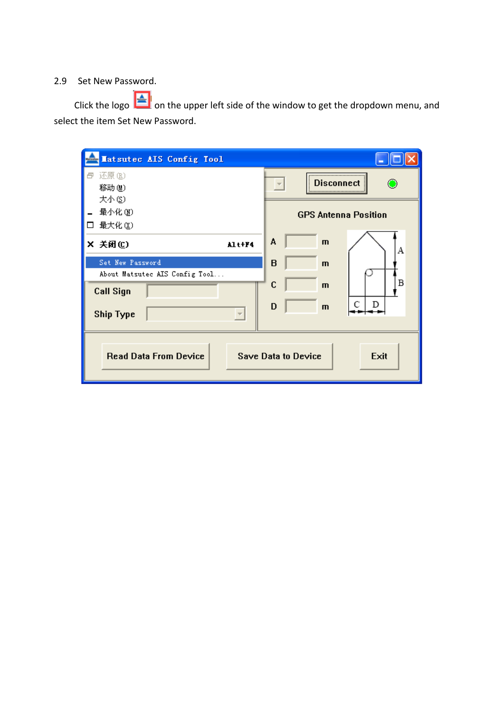## 2.9 Set New Password.

Click the logo  $\left[\frac{1}{\sqrt{2}}\right]$  on the upper left side of the window to get the dropdown menu, and select the item Set New Password.

| <b>Latsutec AIS Config Tool</b>                    |                                    |
|----------------------------------------------------|------------------------------------|
| 还原 ⑧<br>a<br>移动(M)<br>大小(S)                        | Disconnect<br>⊙                    |
| 最小化(M)<br>最大化(X)<br>$\Box$                         | <b>GPS Antenna Position</b>        |
| X 关闭(C)<br>Alt+F4                                  | A<br>$\mathbf{m}$<br>А             |
| Set New Password<br>About Matsutec AIS Config Tool | B<br>$\mathbf{m}$                  |
| <b>Call Sign</b>                                   | Β<br>$\mathbf C$<br>$\mathbf{m}$   |
| <b>Ship Type</b><br>$\overline{\phantom{m}}$       | C<br>D<br>D<br>$\mathbf{m}$        |
| <b>Read Data From Device</b>                       | Exit<br><b>Save Data to Device</b> |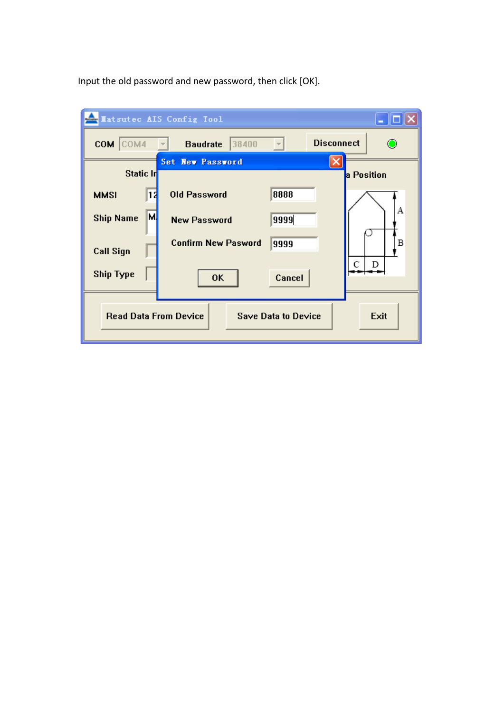Input the old password and new password, then click [OK].

| Matsutec AIS Config Tool<br>– ∥□∥× |                                                                    |  |  |  |
|------------------------------------|--------------------------------------------------------------------|--|--|--|
| COM COM4                           | <b>Disconnect</b><br>38400<br><b>Baudrate</b><br>$\circ$           |  |  |  |
| Static In                          | Set New Password<br>a Position                                     |  |  |  |
| <b>MMSI</b>                        | 8888<br><b>Old Password</b><br>11                                  |  |  |  |
| <b>Ship Name</b>                   | А<br>M<br>9999<br><b>New Password</b>                              |  |  |  |
| <b>Call Sign</b>                   | <b>Confirm New Pasword</b><br>B<br>9999                            |  |  |  |
| <b>Ship Type</b>                   | С<br>D<br>Cancel<br>0K                                             |  |  |  |
|                                    | <b>Read Data From Device</b><br>Exit<br><b>Save Data to Device</b> |  |  |  |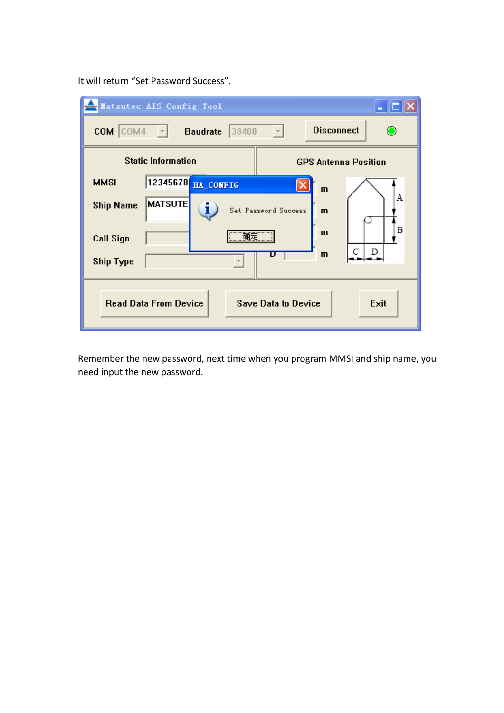It will return "Set Password Success".

|                                                                    | <b>Matsutec AIS Config Tool</b>                                   |  |
|--------------------------------------------------------------------|-------------------------------------------------------------------|--|
| COM COM4                                                           | <b>Disconnect</b><br>⊙<br>38400<br><b>Baudrate</b><br>- 17        |  |
|                                                                    | <b>Static Information</b><br><b>GPS Antenna Position</b>          |  |
| <b>MMSI</b>                                                        | 12345678<br><b>HA_CONFIG</b><br>$\mathbf{m}$                      |  |
| <b>Ship Name</b>                                                   | A<br><b>MATSUTE</b><br>i,<br>Set Password Success<br>$\mathbf{m}$ |  |
| <b>Call Sign</b>                                                   | Β<br>$\mathbf{m}$                                                 |  |
| <b>Ship Type</b>                                                   | C<br>D<br>$\mathbf{m}$<br>D                                       |  |
| Exit<br><b>Read Data From Device</b><br><b>Save Data to Device</b> |                                                                   |  |

Remember the new password, next time when you program MMSI and ship name, you need input the new password.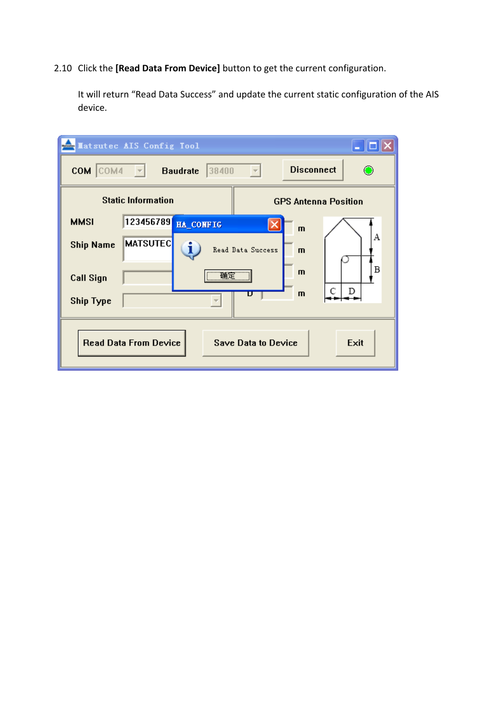### 2.10 Click the **[Read Data From Device]** button to get the current configuration.

It will return "Read Data Success" and update the current static configuration of the AIS device.

| <b>Extracted AIS Config Tool</b> |                              |                            | – ∥□∥×                      |
|----------------------------------|------------------------------|----------------------------|-----------------------------|
| COM COM4                         | $\vert \nabla \vert$         | 38400<br><b>Baudrate</b>   | <b>Disconnect</b>           |
|                                  | <b>Static Information</b>    |                            | <b>GPS Antenna Position</b> |
| <b>MMSI</b>                      | 123456789                    | HA_CONFIG                  | $\mathbf{m}$                |
| <b>Ship Name</b>                 | <b>MATSUTEC</b>              | i.<br>Read Data Success    | А<br>$\mathbf{m}$           |
| <b>Call Sign</b>                 |                              | 确定                         | B<br>m                      |
| <b>Ship Type</b>                 |                              | U                          | D<br>m                      |
|                                  | <b>Read Data From Device</b> | <b>Save Data to Device</b> | Exit                        |